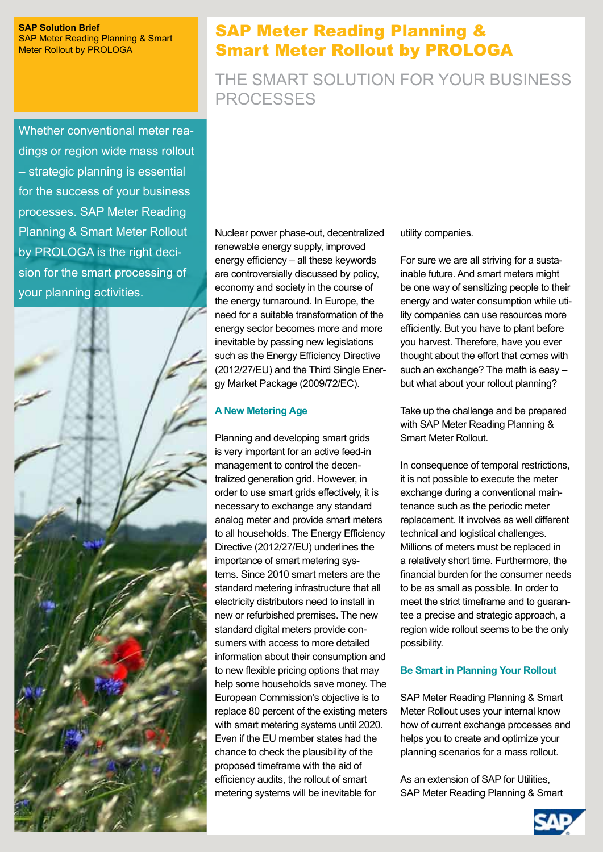#### **SAP Solution Brief** SAP Meter Reading Planning & Smart Meter Rollout by PROLOGA

Whether conventional meter readings or region wide mass rollout – strategic planning is essential for the success of your business processes. SAP Meter Reading Planning & Smart Meter Rollout by PROLOGA is the right decision for the smart processing of your planning activities.



# SAP Meter Reading Planning & Smart Meter Rollout by PROLOGA

# The smart solution for your business processes

Nuclear power phase-out, decentralized renewable energy supply, improved energy efficiency – all these keywords are controversially discussed by policy, economy and society in the course of the energy turnaround. In Europe, the need for a suitable transformation of the energy sector becomes more and more inevitable by passing new legislations such as the Energy Efficiency Directive (2012/27/EU) and the Third Single Energy Market Package (2009/72/EC).

# **A New Metering Age**

Planning and developing smart grids is very important for an active feed-in management to control the decentralized generation grid. However, in order to use smart grids effectively, it is necessary to exchange any standard analog meter and provide smart meters to all households. The Energy Efficiency Directive (2012/27/EU) underlines the importance of smart metering systems. Since 2010 smart meters are the standard metering infrastructure that all electricity distributors need to install in new or refurbished premises. The new standard digital meters provide consumers with access to more detailed information about their consumption and to new flexible pricing options that may help some households save money. The European Commission's objective is to replace 80 percent of the existing meters with smart metering systems until 2020. Even if the EU member states had the chance to check the plausibility of the proposed timeframe with the aid of efficiency audits, the rollout of smart metering systems will be inevitable for

utility companies.

For sure we are all striving for a sustainable future. And smart meters might be one way of sensitizing people to their energy and water consumption while utility companies can use resources more efficiently. But you have to plant before you harvest. Therefore, have you ever thought about the effort that comes with such an exchange? The math is easy – but what about your rollout planning?

Take up the challenge and be prepared with SAP Meter Reading Planning & Smart Meter Rollout.

In consequence of temporal restrictions, it is not possible to execute the meter exchange during a conventional maintenance such as the periodic meter replacement. It involves as well different technical and logistical challenges. Millions of meters must be replaced in a relatively short time. Furthermore, the financial burden for the consumer needs to be as small as possible. In order to meet the strict timeframe and to guarantee a precise and strategic approach, a region wide rollout seems to be the only possibility.

## **Be Smart in Planning Your Rollout**

SAP Meter Reading Planning & Smart Meter Rollout uses your internal know how of current exchange processes and helps you to create and optimize your planning scenarios for a mass rollout.

As an extension of SAP for Utilities, SAP Meter Reading Planning & Smart

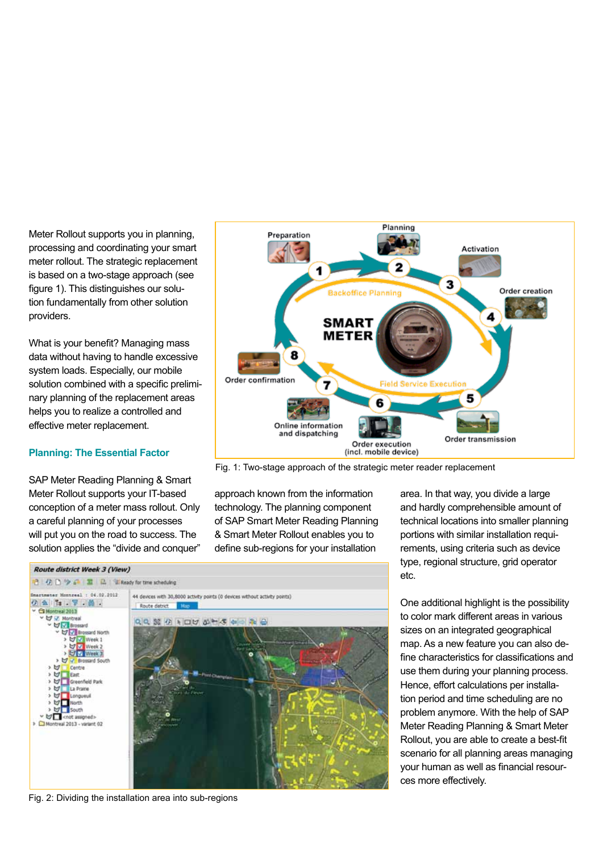Meter Rollout supports you in planning, processing and coordinating your smart meter rollout. The strategic replacement is based on a two-stage approach (see figure 1). This distinguishes our solution fundamentally from other solution providers.

What is your benefit? Managing mass data without having to handle excessive system loads. Especially, our mobile solution combined with a specific preliminary planning of the replacement areas helps you to realize a controlled and effective meter replacement.

### **Planning: The Essential Factor**

SAP Meter Reading Planning & Smart Meter Rollout supports your IT-based conception of a meter mass rollout. Only a careful planning of your processes will put you on the road to success. The solution applies the "divide and conquer"



Fig. 1: Two-stage approach of the strategic meter reader replacement

approach known from the information technology. The planning component of SAP Smart Meter Reading Planning & Smart Meter Rollout enables you to define sub-regions for your installation

**Route district Week 3 (View)** 12 亿 B 少 G 国 品 国 Ready for time scheduling Smartmener Honneeal : 04.02.2012 44 devices with 30,8000 activity points (0 devices without activity points)  $9915.7.0.$ Route detrict treal 2013 Montrea QQ 36 0 100 0 4 5 0 2 2 nd Navel Week 1 Week **IST WHOLE** ireenfield Park La Prairie onque  $\sqrt{5}$  cnot assigned: OH real 2013 - variant 02

area. In that way, you divide a large and hardly comprehensible amount of technical locations into smaller planning portions with similar installation requirements, using criteria such as device type, regional structure, grid operator etc.

One additional highlight is the possibility to color mark different areas in various sizes on an integrated geographical map. As a new feature you can also define characteristics for classifications and use them during your planning process. Hence, effort calculations per installation period and time scheduling are no problem anymore. With the help of SAP Meter Reading Planning & Smart Meter Rollout, you are able to create a best-fit scenario for all planning areas managing your human as well as financial resources more effectively.

Fig. 2: Dividing the installation area into sub-regions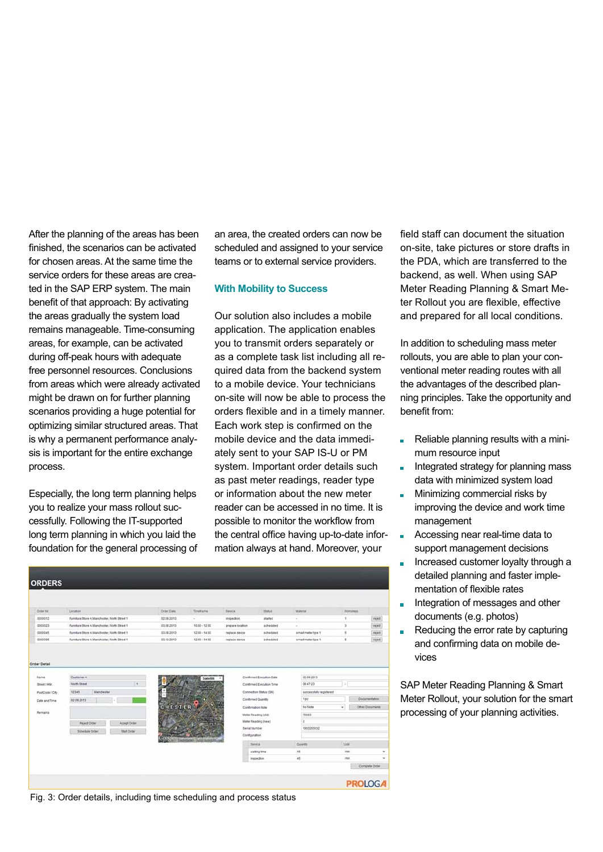After the planning of the areas has been finished, the scenarios can be activated for chosen areas. At the same time the service orders for these areas are created in the SAP ERP system. The main benefit of that approach: By activating the areas gradually the system load remains manageable. Time-consuming areas, for example, can be activated during off-peak hours with adequate free personnel resources. Conclusions from areas which were already activated might be drawn on for further planning scenarios providing a huge potential for optimizing similar structured areas. That is why a permanent performance analysis is important for the entire exchange process.

Especially, the long term planning helps you to realize your mass rollout successfully. Following the IT-supported long term planning in which you laid the foundation for the general processing of an area, the created orders can now be scheduled and assigned to your service teams or to external service providers.

#### **With Mobility to Success**

Our solution also includes a mobile application. The application enables you to transmit orders separately or as a complete task list including all required data from the backend system to a mobile device. Your technicians on-site will now be able to process the orders flexible and in a timely manner. Each work step is confirmed on the mobile device and the data immediately sent to your SAP IS-U or PM system. Important order details such as past meter readings, reader type or information about the new meter reader can be accessed in no time. It is possible to monitor the workflow from the central office having up-to-date information always at hand. Moreover, your

| <b>ORDERS</b>                    |                                                |            |                     |                      |                                               |                                |                      |                           |  |
|----------------------------------|------------------------------------------------|------------|---------------------|----------------------|-----------------------------------------------|--------------------------------|----------------------|---------------------------|--|
|                                  |                                                |            |                     |                      |                                               |                                |                      |                           |  |
| <b>CHOM TAI</b>                  | Lacation                                       | Order Date | Timetame            | <b>Zentre</b>        | <b>Titul</b>                                  | Material                       | Wortsteps            |                           |  |
| 0000012                          | Furniture Dtore A; Manchester, North Dtreet 1  | 02.09.2013 | $\omega$            | inspection           | started                                       |                                | ٠                    | <b>FR/Rd</b>              |  |
| 0000023                          | Furniture Store A Manchester, North Street 1.  | 03/08/2013 | 10:00 - 12:00       | piegare iscalion     | scheduled                                     | $\sim$                         | э                    | reject                    |  |
| 0000045                          | Furniture Store A: Manchester, North Street 1  | 03.09.2013 | 12:30 - 14:30       | replace device       | scheduled                                     | smart meter type 1             | ź.                   | <b>INJECT</b>             |  |
| 0000008                          | Furniture Store A. Manchester, North Street 1. | 03.10.2013 | 12:00 - 14:00       | replace device       | acheduled                                     | smart meter box 1              | ٠                    | reyent                    |  |
| PostCode / City<br>Date and Time | 12345<br>Manchester<br>02.00.2013              |            |                     |                      | Connection Status (SM).<br>Confirmed Quantity | auccessfully registered<br>146 | <b>Documentation</b> |                           |  |
|                                  |                                                | CHESTER    |                     | Confirmation Note    |                                               | <b>No 72086</b>                | ٠                    | <b>Cities Discursents</b> |  |
| Ramans                           |                                                |            | Meter Reading (old) |                      |                                               | 75663                          |                      |                           |  |
|                                  | <b>Reject Order</b><br>Accept Order            |            |                     |                      | Meter Reading (new)                           | $\alpha$                       |                      |                           |  |
|                                  | Schedule Criter<br><b>Start Order</b>          |            |                     | <b>Berial Number</b> |                                               | 1003250632                     |                      |                           |  |
|                                  |                                                |            | Configuration       |                      |                                               |                                |                      |                           |  |
|                                  |                                                |            |                     | <b>Benete</b>        |                                               | <b>Cuarth</b>                  | <b>Use</b>           |                           |  |
|                                  |                                                |            |                     |                      | watting time                                  | 15                             | min                  | ×                         |  |
|                                  |                                                |            |                     |                      | mapedion                                      | 45                             | min                  | $\sim$                    |  |
|                                  |                                                |            |                     |                      |                                               |                                |                      | Compute Order             |  |
|                                  |                                                |            |                     |                      |                                               |                                |                      |                           |  |
|                                  |                                                |            |                     |                      |                                               |                                | <b>PROLOGA</b>       |                           |  |

Fig. 3: Order details, including time scheduling and process status

field staff can document the situation on-site, take pictures or store drafts in the PDA, which are transferred to the backend, as well. When using SAP Meter Reading Planning & Smart Meter Rollout you are flexible, effective and prepared for all local conditions.

In addition to scheduling mass meter rollouts, you are able to plan your conventional meter reading routes with all the advantages of the described planning principles. Take the opportunity and benefit from:

- Reliable planning results with a minimum resource input
- Integrated strategy for planning mass data with minimized system load
- Minimizing commercial risks by a. improving the device and work time management
- Accessing near real-time data to support management decisions
- Increased customer loyalty through a  $\mathbf{r}$ detailed planning and faster implementation of flexible rates
- Integration of messages and other documents (e.g. photos)
- Reducing the error rate by capturing m. and confirming data on mobile devices

SAP Meter Reading Planning & Smart Meter Rollout, your solution for the smart processing of your planning activities.